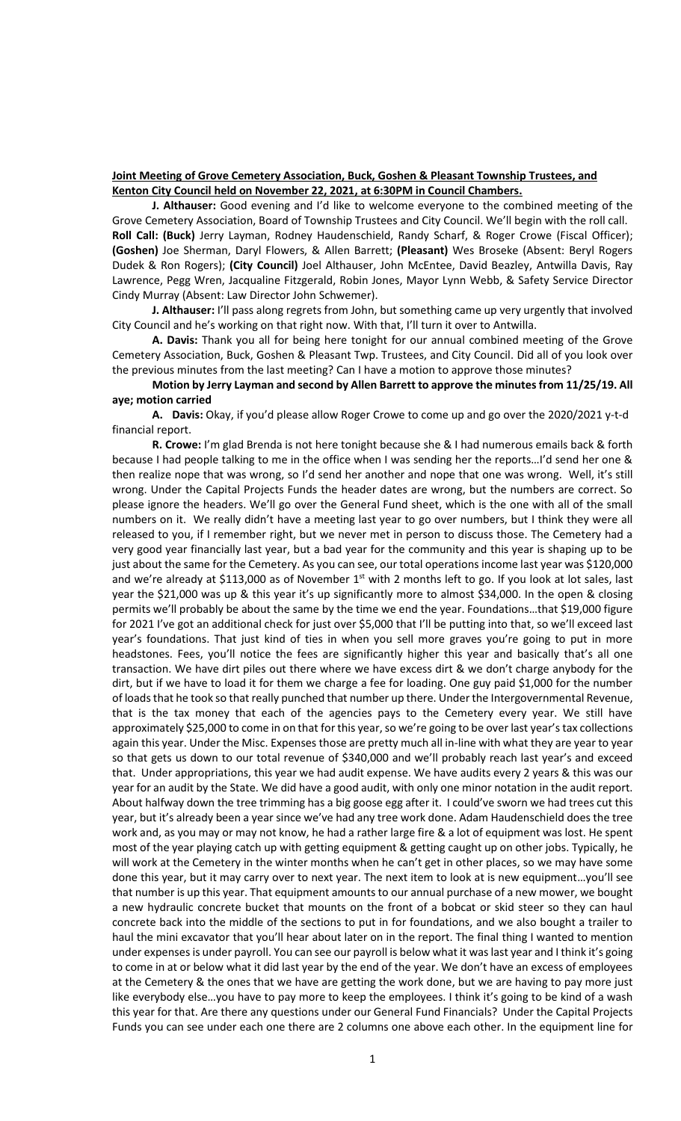# **Joint Meeting of Grove Cemetery Association, Buck, Goshen & Pleasant Township Trustees, and Kenton City Council held on November 22, 2021, at 6:30PM in Council Chambers.**

**J. Althauser:** Good evening and I'd like to welcome everyone to the combined meeting of the Grove Cemetery Association, Board of Township Trustees and City Council. We'll begin with the roll call. **Roll Call: (Buck)** Jerry Layman, Rodney Haudenschield, Randy Scharf, & Roger Crowe (Fiscal Officer); **(Goshen)** Joe Sherman, Daryl Flowers, & Allen Barrett; **(Pleasant)** Wes Broseke (Absent: Beryl Rogers Dudek & Ron Rogers); **(City Council)** Joel Althauser, John McEntee, David Beazley, Antwilla Davis, Ray Lawrence, Pegg Wren, Jacqualine Fitzgerald, Robin Jones, Mayor Lynn Webb, & Safety Service Director Cindy Murray (Absent: Law Director John Schwemer).

**J. Althauser:** I'll pass along regrets from John, but something came up very urgently that involved City Council and he's working on that right now. With that, I'll turn it over to Antwilla.

**A. Davis:** Thank you all for being here tonight for our annual combined meeting of the Grove Cemetery Association, Buck, Goshen & Pleasant Twp. Trustees, and City Council. Did all of you look over the previous minutes from the last meeting? Can I have a motion to approve those minutes?

## **Motion by Jerry Layman and second by Allen Barrett to approve the minutes from 11/25/19. All aye; motion carried**

**A. Davis:** Okay, if you'd please allow Roger Crowe to come up and go over the 2020/2021 y-t-d financial report.

**R. Crowe:** I'm glad Brenda is not here tonight because she & I had numerous emails back & forth because I had people talking to me in the office when I was sending her the reports…I'd send her one & then realize nope that was wrong, so I'd send her another and nope that one was wrong. Well, it's still wrong. Under the Capital Projects Funds the header dates are wrong, but the numbers are correct. So please ignore the headers. We'll go over the General Fund sheet, which is the one with all of the small numbers on it. We really didn't have a meeting last year to go over numbers, but I think they were all released to you, if I remember right, but we never met in person to discuss those. The Cemetery had a very good year financially last year, but a bad year for the community and this year is shaping up to be just about the same for the Cemetery. As you can see, our total operations income last year was \$120,000 and we're already at \$113,000 as of November  $1<sup>st</sup>$  with 2 months left to go. If you look at lot sales, last year the \$21,000 was up & this year it's up significantly more to almost \$34,000. In the open & closing permits we'll probably be about the same by the time we end the year. Foundations…that \$19,000 figure for 2021 I've got an additional check for just over \$5,000 that I'll be putting into that, so we'll exceed last year's foundations. That just kind of ties in when you sell more graves you're going to put in more headstones. Fees, you'll notice the fees are significantly higher this year and basically that's all one transaction. We have dirt piles out there where we have excess dirt & we don't charge anybody for the dirt, but if we have to load it for them we charge a fee for loading. One guy paid \$1,000 for the number of loads that he took so that really punched that number up there. Under the Intergovernmental Revenue, that is the tax money that each of the agencies pays to the Cemetery every year. We still have approximately \$25,000 to come in on that for this year, so we're going to be over last year's tax collections again this year. Under the Misc. Expenses those are pretty much all in-line with what they are year to year so that gets us down to our total revenue of \$340,000 and we'll probably reach last year's and exceed that. Under appropriations, this year we had audit expense. We have audits every 2 years & this was our year for an audit by the State. We did have a good audit, with only one minor notation in the audit report. About halfway down the tree trimming has a big goose egg after it. I could've sworn we had trees cut this year, but it's already been a year since we've had any tree work done. Adam Haudenschield does the tree work and, as you may or may not know, he had a rather large fire & a lot of equipment was lost. He spent most of the year playing catch up with getting equipment & getting caught up on other jobs. Typically, he will work at the Cemetery in the winter months when he can't get in other places, so we may have some done this year, but it may carry over to next year. The next item to look at is new equipment…you'll see that number is up this year. That equipment amounts to our annual purchase of a new mower, we bought a new hydraulic concrete bucket that mounts on the front of a bobcat or skid steer so they can haul concrete back into the middle of the sections to put in for foundations, and we also bought a trailer to haul the mini excavator that you'll hear about later on in the report. The final thing I wanted to mention under expenses is under payroll. You can see our payroll is below what it was last year and I think it's going to come in at or below what it did last year by the end of the year. We don't have an excess of employees at the Cemetery & the ones that we have are getting the work done, but we are having to pay more just like everybody else...you have to pay more to keep the employees. I think it's going to be kind of a wash this year for that. Are there any questions under our General Fund Financials? Under the Capital Projects Funds you can see under each one there are 2 columns one above each other. In the equipment line for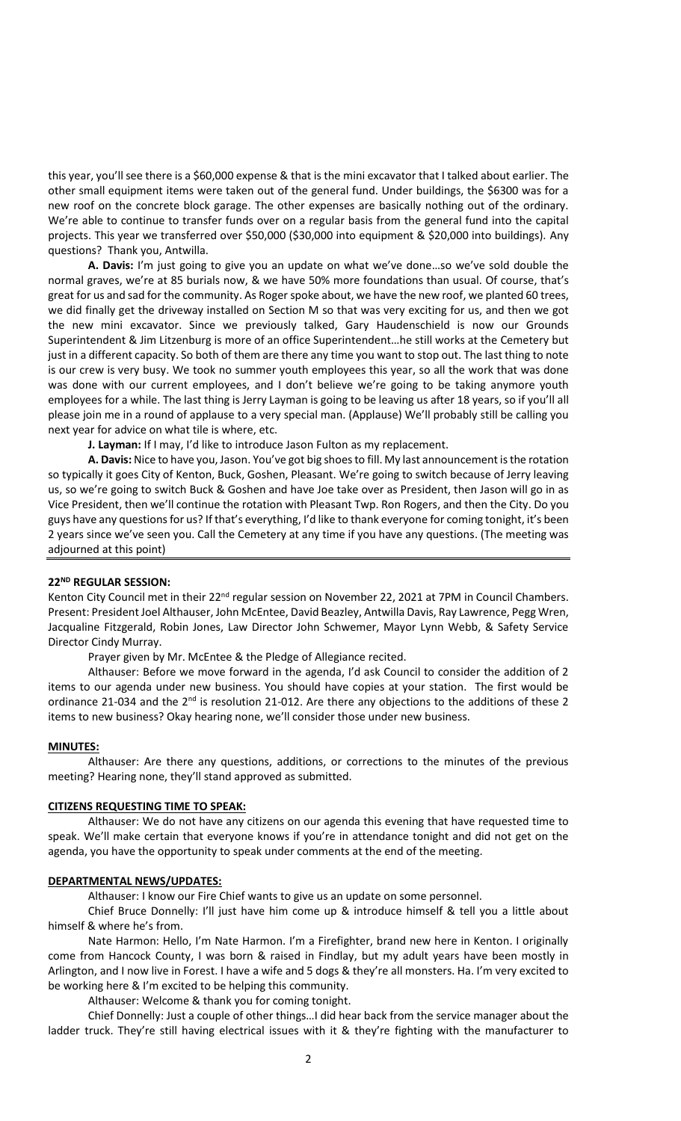this year, you'll see there is a \$60,000 expense & that is the mini excavator that I talked about earlier. The other small equipment items were taken out of the general fund. Under buildings, the \$6300 was for a new roof on the concrete block garage. The other expenses are basically nothing out of the ordinary. We're able to continue to transfer funds over on a regular basis from the general fund into the capital projects. This year we transferred over \$50,000 (\$30,000 into equipment & \$20,000 into buildings). Any questions? Thank you, Antwilla.

**A. Davis:** I'm just going to give you an update on what we've done…so we've sold double the normal graves, we're at 85 burials now, & we have 50% more foundations than usual. Of course, that's great for us and sad for the community. As Roger spoke about, we have the new roof, we planted 60 trees, we did finally get the driveway installed on Section M so that was very exciting for us, and then we got the new mini excavator. Since we previously talked, Gary Haudenschield is now our Grounds Superintendent & Jim Litzenburg is more of an office Superintendent…he still works at the Cemetery but just in a different capacity. So both of them are there any time you want to stop out. The last thing to note is our crew is very busy. We took no summer youth employees this year, so all the work that was done was done with our current employees, and I don't believe we're going to be taking anymore youth employees for a while. The last thing is Jerry Layman is going to be leaving us after 18 years, so if you'll all please join me in a round of applause to a very special man. (Applause) We'll probably still be calling you next year for advice on what tile is where, etc.

**J. Layman:** If I may, I'd like to introduce Jason Fulton as my replacement.

**A. Davis:** Nice to have you, Jason. You've got big shoes to fill. My last announcement is the rotation so typically it goes City of Kenton, Buck, Goshen, Pleasant. We're going to switch because of Jerry leaving us, so we're going to switch Buck & Goshen and have Joe take over as President, then Jason will go in as Vice President, then we'll continue the rotation with Pleasant Twp. Ron Rogers, and then the City. Do you guys have any questions for us? If that's everything, I'd like to thank everyone for coming tonight, it's been 2 years since we've seen you. Call the Cemetery at any time if you have any questions. (The meeting was adjourned at this point)

## **22ND REGULAR SESSION:**

Kenton City Council met in their 22<sup>nd</sup> regular session on November 22, 2021 at 7PM in Council Chambers. Present: President Joel Althauser, John McEntee, David Beazley, Antwilla Davis, Ray Lawrence, Pegg Wren, Jacqualine Fitzgerald, Robin Jones, Law Director John Schwemer, Mayor Lynn Webb, & Safety Service Director Cindy Murray.

Prayer given by Mr. McEntee & the Pledge of Allegiance recited.

Althauser: Before we move forward in the agenda, I'd ask Council to consider the addition of 2 items to our agenda under new business. You should have copies at your station. The first would be ordinance 21-034 and the  $2<sup>nd</sup>$  is resolution 21-012. Are there any objections to the additions of these 2 items to new business? Okay hearing none, we'll consider those under new business.

## **MINUTES:**

Althauser: Are there any questions, additions, or corrections to the minutes of the previous meeting? Hearing none, they'll stand approved as submitted.

## **CITIZENS REQUESTING TIME TO SPEAK:**

Althauser: We do not have any citizens on our agenda this evening that have requested time to speak. We'll make certain that everyone knows if you're in attendance tonight and did not get on the agenda, you have the opportunity to speak under comments at the end of the meeting.

## **DEPARTMENTAL NEWS/UPDATES:**

Althauser: I know our Fire Chief wants to give us an update on some personnel.

Chief Bruce Donnelly: I'll just have him come up & introduce himself & tell you a little about himself & where he's from.

Nate Harmon: Hello, I'm Nate Harmon. I'm a Firefighter, brand new here in Kenton. I originally come from Hancock County, I was born & raised in Findlay, but my adult years have been mostly in Arlington, and I now live in Forest. I have a wife and 5 dogs & they're all monsters. Ha. I'm very excited to be working here & I'm excited to be helping this community.

Althauser: Welcome & thank you for coming tonight.

Chief Donnelly: Just a couple of other things…I did hear back from the service manager about the ladder truck. They're still having electrical issues with it & they're fighting with the manufacturer to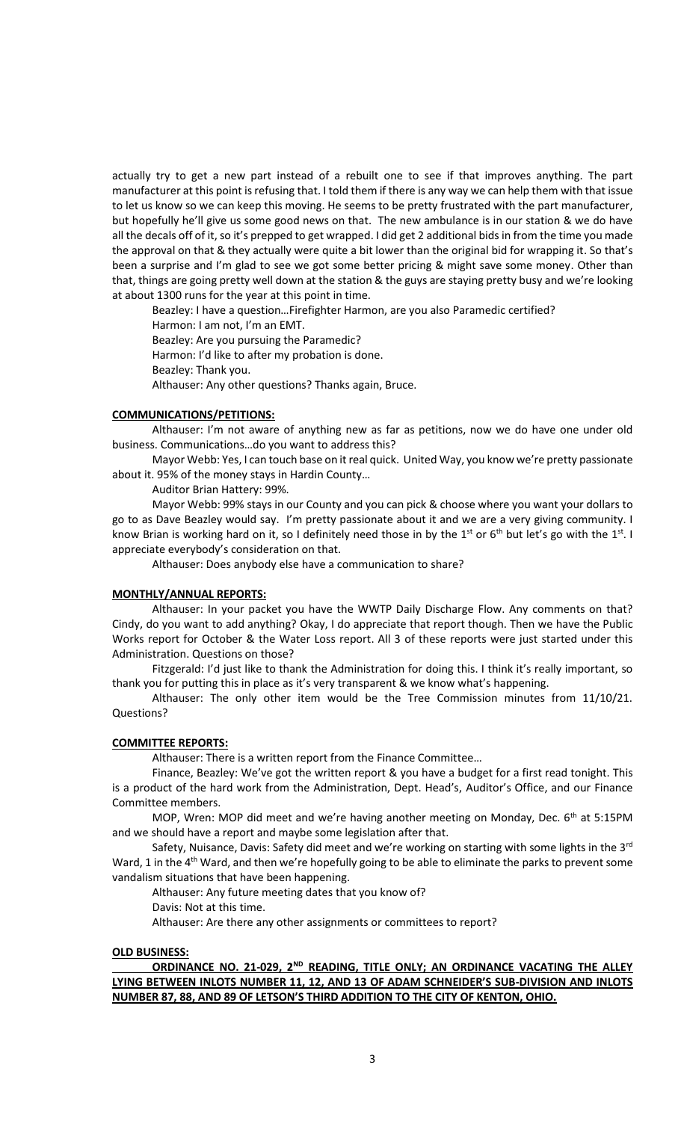actually try to get a new part instead of a rebuilt one to see if that improves anything. The part manufacturer at this point is refusing that. I told them if there is any way we can help them with that issue to let us know so we can keep this moving. He seems to be pretty frustrated with the part manufacturer, but hopefully he'll give us some good news on that. The new ambulance is in our station & we do have all the decals off of it, so it's prepped to get wrapped. I did get 2 additional bids in from the time you made the approval on that & they actually were quite a bit lower than the original bid for wrapping it. So that's been a surprise and I'm glad to see we got some better pricing & might save some money. Other than that, things are going pretty well down at the station & the guys are staying pretty busy and we're looking at about 1300 runs for the year at this point in time.

Beazley: I have a question…Firefighter Harmon, are you also Paramedic certified?

Harmon: I am not, I'm an EMT. Beazley: Are you pursuing the Paramedic? Harmon: I'd like to after my probation is done. Beazley: Thank you.

Althauser: Any other questions? Thanks again, Bruce.

## **COMMUNICATIONS/PETITIONS:**

Althauser: I'm not aware of anything new as far as petitions, now we do have one under old business. Communications…do you want to address this?

Mayor Webb: Yes, I can touch base on it real quick. United Way, you know we're pretty passionate about it. 95% of the money stays in Hardin County…

Auditor Brian Hattery: 99%.

Mayor Webb: 99% stays in our County and you can pick & choose where you want your dollars to go to as Dave Beazley would say. I'm pretty passionate about it and we are a very giving community. I know Brian is working hard on it, so I definitely need those in by the 1<sup>st</sup> or 6<sup>th</sup> but let's go with the 1<sup>st</sup>. I appreciate everybody's consideration on that.

Althauser: Does anybody else have a communication to share?

## **MONTHLY/ANNUAL REPORTS:**

Althauser: In your packet you have the WWTP Daily Discharge Flow. Any comments on that? Cindy, do you want to add anything? Okay, I do appreciate that report though. Then we have the Public Works report for October & the Water Loss report. All 3 of these reports were just started under this Administration. Questions on those?

Fitzgerald: I'd just like to thank the Administration for doing this. I think it's really important, so thank you for putting this in place as it's very transparent & we know what's happening.

Althauser: The only other item would be the Tree Commission minutes from 11/10/21. Questions?

## **COMMITTEE REPORTS:**

Althauser: There is a written report from the Finance Committee…

Finance, Beazley: We've got the written report & you have a budget for a first read tonight. This is a product of the hard work from the Administration, Dept. Head's, Auditor's Office, and our Finance Committee members.

MOP, Wren: MOP did meet and we're having another meeting on Monday, Dec.  $6<sup>th</sup>$  at 5:15PM and we should have a report and maybe some legislation after that.

Safety, Nuisance, Davis: Safety did meet and we're working on starting with some lights in the 3<sup>rd</sup> Ward, 1 in the 4<sup>th</sup> Ward, and then we're hopefully going to be able to eliminate the parks to prevent some vandalism situations that have been happening.

Althauser: Any future meeting dates that you know of?

Davis: Not at this time.

Althauser: Are there any other assignments or committees to report?

## **OLD BUSINESS:**

**ORDINANCE NO. 21-029, 2ND READING, TITLE ONLY; AN ORDINANCE VACATING THE ALLEY LYING BETWEEN INLOTS NUMBER 11, 12, AND 13 OF ADAM SCHNEIDER'S SUB-DIVISION AND INLOTS NUMBER 87, 88, AND 89 OF LETSON'S THIRD ADDITION TO THE CITY OF KENTON, OHIO.**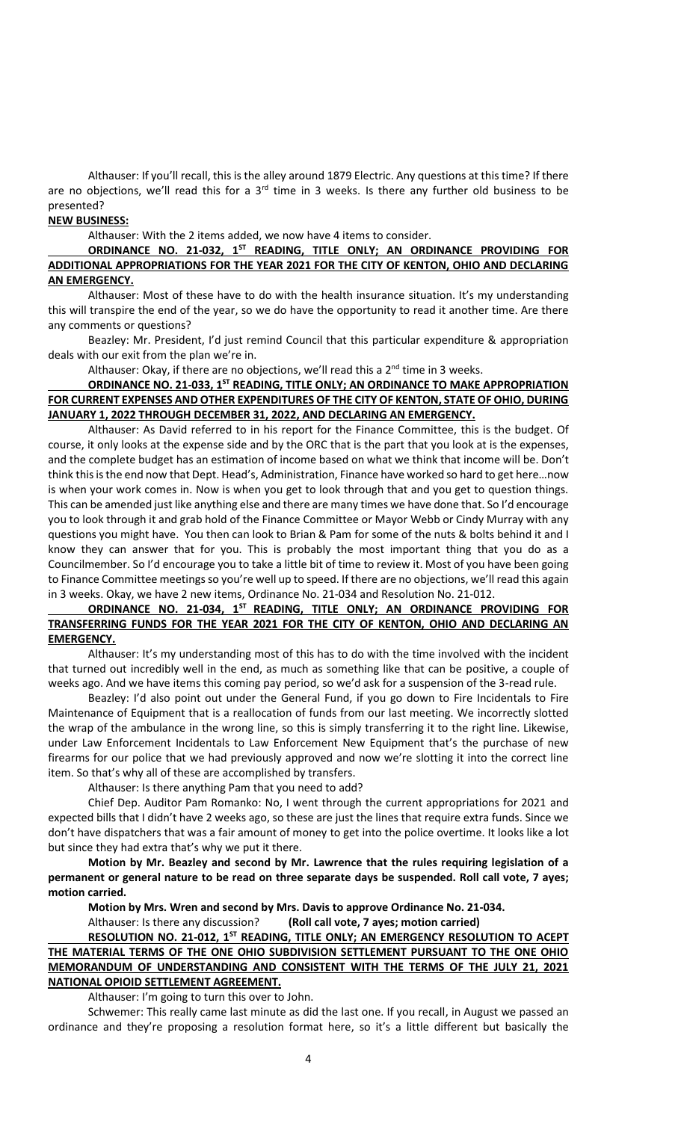Althauser: If you'll recall, this is the alley around 1879 Electric. Any questions at this time? If there are no objections, we'll read this for a  $3<sup>rd</sup>$  time in 3 weeks. Is there any further old business to be presented?

## **NEW BUSINESS:**

Althauser: With the 2 items added, we now have 4 items to consider.

**ORDINANCE NO. 21-032, 1ST READING, TITLE ONLY; AN ORDINANCE PROVIDING FOR ADDITIONAL APPROPRIATIONS FOR THE YEAR 2021 FOR THE CITY OF KENTON, OHIO AND DECLARING AN EMERGENCY.**

Althauser: Most of these have to do with the health insurance situation. It's my understanding this will transpire the end of the year, so we do have the opportunity to read it another time. Are there any comments or questions?

Beazley: Mr. President, I'd just remind Council that this particular expenditure & appropriation deals with our exit from the plan we're in.

Althauser: Okay, if there are no objections, we'll read this a  $2<sup>nd</sup>$  time in 3 weeks.

**ORDINANCE NO. 21-033, 1ST READING, TITLE ONLY; AN ORDINANCE TO MAKE APPROPRIATION FOR CURRENT EXPENSES AND OTHER EXPENDITURES OF THE CITY OF KENTON, STATE OF OHIO, DURING JANUARY 1, 2022 THROUGH DECEMBER 31, 2022, AND DECLARING AN EMERGENCY.**

Althauser: As David referred to in his report for the Finance Committee, this is the budget. Of course, it only looks at the expense side and by the ORC that is the part that you look at is the expenses, and the complete budget has an estimation of income based on what we think that income will be. Don't think this is the end now that Dept. Head's, Administration, Finance have worked so hard to get here…now is when your work comes in. Now is when you get to look through that and you get to question things. This can be amended just like anything else and there are many times we have done that. So I'd encourage you to look through it and grab hold of the Finance Committee or Mayor Webb or Cindy Murray with any questions you might have. You then can look to Brian & Pam for some of the nuts & bolts behind it and I know they can answer that for you. This is probably the most important thing that you do as a Councilmember. So I'd encourage you to take a little bit of time to review it. Most of you have been going to Finance Committee meetings so you're well up to speed. If there are no objections, we'll read this again in 3 weeks. Okay, we have 2 new items, Ordinance No. 21-034 and Resolution No. 21-012.

# **ORDINANCE NO. 21-034, 1ST READING, TITLE ONLY; AN ORDINANCE PROVIDING FOR TRANSFERRING FUNDS FOR THE YEAR 2021 FOR THE CITY OF KENTON, OHIO AND DECLARING AN EMERGENCY.**

Althauser: It's my understanding most of this has to do with the time involved with the incident that turned out incredibly well in the end, as much as something like that can be positive, a couple of weeks ago. And we have items this coming pay period, so we'd ask for a suspension of the 3-read rule.

Beazley: I'd also point out under the General Fund, if you go down to Fire Incidentals to Fire Maintenance of Equipment that is a reallocation of funds from our last meeting. We incorrectly slotted the wrap of the ambulance in the wrong line, so this is simply transferring it to the right line. Likewise, under Law Enforcement Incidentals to Law Enforcement New Equipment that's the purchase of new firearms for our police that we had previously approved and now we're slotting it into the correct line item. So that's why all of these are accomplished by transfers.

Althauser: Is there anything Pam that you need to add?

Chief Dep. Auditor Pam Romanko: No, I went through the current appropriations for 2021 and expected bills that I didn't have 2 weeks ago, so these are just the lines that require extra funds. Since we don't have dispatchers that was a fair amount of money to get into the police overtime. It looks like a lot but since they had extra that's why we put it there.

**Motion by Mr. Beazley and second by Mr. Lawrence that the rules requiring legislation of a permanent or general nature to be read on three separate days be suspended. Roll call vote, 7 ayes; motion carried.** 

**Motion by Mrs. Wren and second by Mrs. Davis to approve Ordinance No. 21-034.**

Althauser: Is there any discussion? **(Roll call vote, 7 ayes; motion carried)**

# **RESOLUTION NO. 21-012, 1ST READING, TITLE ONLY; AN EMERGENCY RESOLUTION TO ACEPT THE MATERIAL TERMS OF THE ONE OHIO SUBDIVISION SETTLEMENT PURSUANT TO THE ONE OHIO MEMORANDUM OF UNDERSTANDING AND CONSISTENT WITH THE TERMS OF THE JULY 21, 2021 NATIONAL OPIOID SETTLEMENT AGREEMENT.**

Althauser: I'm going to turn this over to John.

Schwemer: This really came last minute as did the last one. If you recall, in August we passed an ordinance and they're proposing a resolution format here, so it's a little different but basically the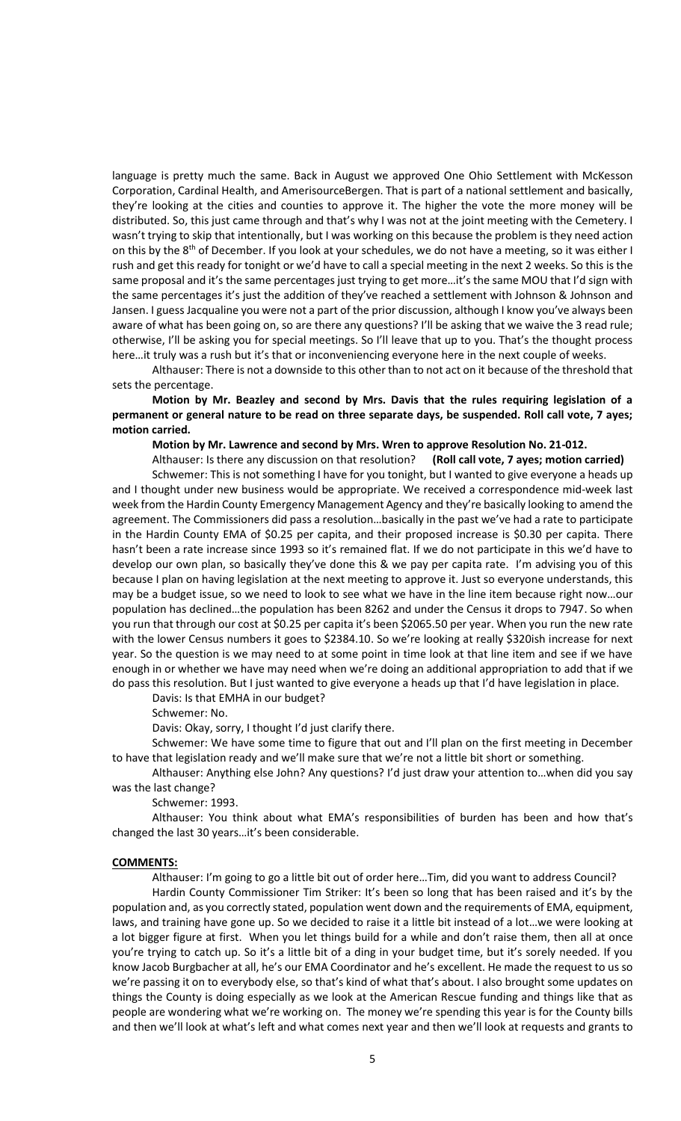language is pretty much the same. Back in August we approved One Ohio Settlement with McKesson Corporation, Cardinal Health, and AmerisourceBergen. That is part of a national settlement and basically, they're looking at the cities and counties to approve it. The higher the vote the more money will be distributed. So, this just came through and that's why I was not at the joint meeting with the Cemetery. I wasn't trying to skip that intentionally, but I was working on this because the problem is they need action on this by the 8<sup>th</sup> of December. If you look at your schedules, we do not have a meeting, so it was either I rush and get this ready for tonight or we'd have to call a special meeting in the next 2 weeks. So this is the same proposal and it's the same percentages just trying to get more…it's the same MOU that I'd sign with the same percentages it's just the addition of they've reached a settlement with Johnson & Johnson and Jansen. I guess Jacqualine you were not a part of the prior discussion, although I know you've always been aware of what has been going on, so are there any questions? I'll be asking that we waive the 3 read rule; otherwise, I'll be asking you for special meetings. So I'll leave that up to you. That's the thought process here…it truly was a rush but it's that or inconveniencing everyone here in the next couple of weeks.

Althauser: There is not a downside to this other than to not act on it because of the threshold that sets the percentage.

**Motion by Mr. Beazley and second by Mrs. Davis that the rules requiring legislation of a permanent or general nature to be read on three separate days, be suspended. Roll call vote, 7 ayes; motion carried.**

**Motion by Mr. Lawrence and second by Mrs. Wren to approve Resolution No. 21-012.**

Althauser: Is there any discussion on that resolution? **(Roll call vote, 7 ayes; motion carried)**

Schwemer: This is not something I have for you tonight, but I wanted to give everyone a heads up and I thought under new business would be appropriate. We received a correspondence mid-week last week from the Hardin County Emergency Management Agency and they're basically looking to amend the agreement. The Commissioners did pass a resolution…basically in the past we've had a rate to participate in the Hardin County EMA of \$0.25 per capita, and their proposed increase is \$0.30 per capita. There hasn't been a rate increase since 1993 so it's remained flat. If we do not participate in this we'd have to develop our own plan, so basically they've done this & we pay per capita rate. I'm advising you of this because I plan on having legislation at the next meeting to approve it. Just so everyone understands, this may be a budget issue, so we need to look to see what we have in the line item because right now…our population has declined…the population has been 8262 and under the Census it drops to 7947. So when you run that through our cost at \$0.25 per capita it's been \$2065.50 per year. When you run the new rate with the lower Census numbers it goes to \$2384.10. So we're looking at really \$320ish increase for next year. So the question is we may need to at some point in time look at that line item and see if we have enough in or whether we have may need when we're doing an additional appropriation to add that if we do pass this resolution. But I just wanted to give everyone a heads up that I'd have legislation in place.

Davis: Is that EMHA in our budget?

Schwemer: No.

Davis: Okay, sorry, I thought I'd just clarify there.

Schwemer: We have some time to figure that out and I'll plan on the first meeting in December to have that legislation ready and we'll make sure that we're not a little bit short or something.

Althauser: Anything else John? Any questions? I'd just draw your attention to…when did you say was the last change?

Schwemer: 1993.

Althauser: You think about what EMA's responsibilities of burden has been and how that's changed the last 30 years…it's been considerable.

## **COMMENTS:**

Althauser: I'm going to go a little bit out of order here…Tim, did you want to address Council?

Hardin County Commissioner Tim Striker: It's been so long that has been raised and it's by the population and, as you correctly stated, population went down and the requirements of EMA, equipment, laws, and training have gone up. So we decided to raise it a little bit instead of a lot…we were looking at a lot bigger figure at first. When you let things build for a while and don't raise them, then all at once you're trying to catch up. So it's a little bit of a ding in your budget time, but it's sorely needed. If you know Jacob Burgbacher at all, he's our EMA Coordinator and he's excellent. He made the request to us so we're passing it on to everybody else, so that's kind of what that's about. I also brought some updates on things the County is doing especially as we look at the American Rescue funding and things like that as people are wondering what we're working on. The money we're spending this year is for the County bills and then we'll look at what's left and what comes next year and then we'll look at requests and grants to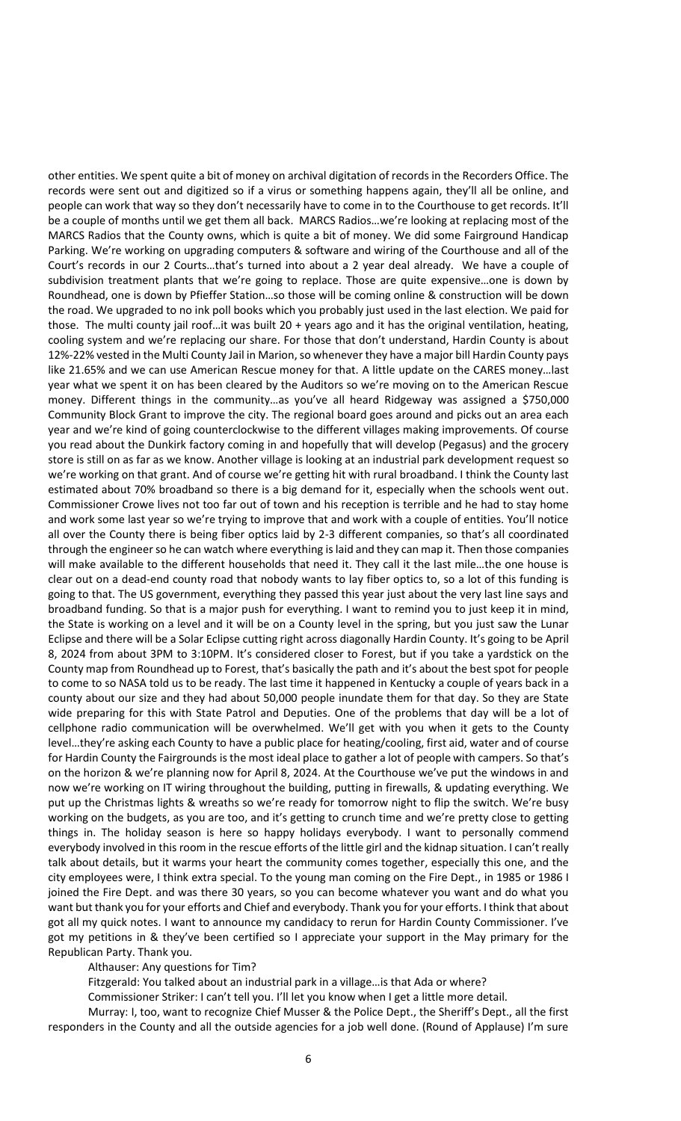other entities. We spent quite a bit of money on archival digitation of records in the Recorders Office. The records were sent out and digitized so if a virus or something happens again, they'll all be online, and people can work that way so they don't necessarily have to come in to the Courthouse to get records. It'll be a couple of months until we get them all back. MARCS Radios…we're looking at replacing most of the MARCS Radios that the County owns, which is quite a bit of money. We did some Fairground Handicap Parking. We're working on upgrading computers & software and wiring of the Courthouse and all of the Court's records in our 2 Courts…that's turned into about a 2 year deal already. We have a couple of subdivision treatment plants that we're going to replace. Those are quite expensive…one is down by Roundhead, one is down by Pfieffer Station…so those will be coming online & construction will be down the road. We upgraded to no ink poll books which you probably just used in the last election. We paid for those. The multi county jail roof…it was built 20 + years ago and it has the original ventilation, heating, cooling system and we're replacing our share. For those that don't understand, Hardin County is about 12%-22% vested in the Multi County Jail in Marion, so whenever they have a major bill Hardin County pays like 21.65% and we can use American Rescue money for that. A little update on the CARES money…last year what we spent it on has been cleared by the Auditors so we're moving on to the American Rescue money. Different things in the community…as you've all heard Ridgeway was assigned a \$750,000 Community Block Grant to improve the city. The regional board goes around and picks out an area each year and we're kind of going counterclockwise to the different villages making improvements. Of course you read about the Dunkirk factory coming in and hopefully that will develop (Pegasus) and the grocery store is still on as far as we know. Another village is looking at an industrial park development request so we're working on that grant. And of course we're getting hit with rural broadband. I think the County last estimated about 70% broadband so there is a big demand for it, especially when the schools went out. Commissioner Crowe lives not too far out of town and his reception is terrible and he had to stay home and work some last year so we're trying to improve that and work with a couple of entities. You'll notice all over the County there is being fiber optics laid by 2-3 different companies, so that's all coordinated through the engineer so he can watch where everything is laid and they can map it. Then those companies will make available to the different households that need it. They call it the last mile…the one house is clear out on a dead-end county road that nobody wants to lay fiber optics to, so a lot of this funding is going to that. The US government, everything they passed this year just about the very last line says and broadband funding. So that is a major push for everything. I want to remind you to just keep it in mind, the State is working on a level and it will be on a County level in the spring, but you just saw the Lunar Eclipse and there will be a Solar Eclipse cutting right across diagonally Hardin County. It's going to be April 8, 2024 from about 3PM to 3:10PM. It's considered closer to Forest, but if you take a yardstick on the County map from Roundhead up to Forest, that's basically the path and it's about the best spot for people to come to so NASA told us to be ready. The last time it happened in Kentucky a couple of years back in a county about our size and they had about 50,000 people inundate them for that day. So they are State wide preparing for this with State Patrol and Deputies. One of the problems that day will be a lot of cellphone radio communication will be overwhelmed. We'll get with you when it gets to the County level…they're asking each County to have a public place for heating/cooling, first aid, water and of course for Hardin County the Fairgrounds is the most ideal place to gather a lot of people with campers. So that's on the horizon & we're planning now for April 8, 2024. At the Courthouse we've put the windows in and now we're working on IT wiring throughout the building, putting in firewalls, & updating everything. We put up the Christmas lights & wreaths so we're ready for tomorrow night to flip the switch. We're busy working on the budgets, as you are too, and it's getting to crunch time and we're pretty close to getting things in. The holiday season is here so happy holidays everybody. I want to personally commend everybody involved in this room in the rescue efforts of the little girl and the kidnap situation. I can't really talk about details, but it warms your heart the community comes together, especially this one, and the city employees were, I think extra special. To the young man coming on the Fire Dept., in 1985 or 1986 I joined the Fire Dept. and was there 30 years, so you can become whatever you want and do what you want but thank you for your efforts and Chief and everybody. Thank you for your efforts. I think that about got all my quick notes. I want to announce my candidacy to rerun for Hardin County Commissioner. I've got my petitions in & they've been certified so I appreciate your support in the May primary for the Republican Party. Thank you.

Althauser: Any questions for Tim?

Fitzgerald: You talked about an industrial park in a village…is that Ada or where?

Commissioner Striker: I can't tell you. I'll let you know when I get a little more detail.

Murray: I, too, want to recognize Chief Musser & the Police Dept., the Sheriff's Dept., all the first responders in the County and all the outside agencies for a job well done. (Round of Applause) I'm sure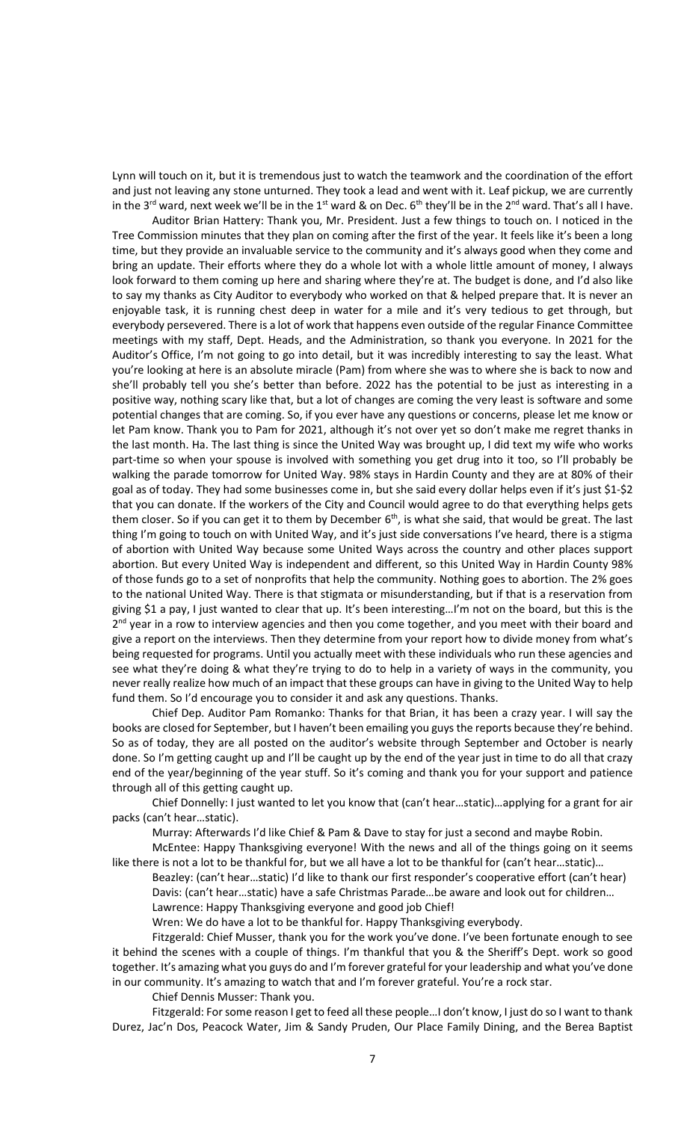Lynn will touch on it, but it is tremendous just to watch the teamwork and the coordination of the effort and just not leaving any stone unturned. They took a lead and went with it. Leaf pickup, we are currently in the 3<sup>rd</sup> ward, next week we'll be in the 1<sup>st</sup> ward & on Dec.  $6<sup>th</sup>$  they'll be in the 2<sup>nd</sup> ward. That's all I have.

Auditor Brian Hattery: Thank you, Mr. President. Just a few things to touch on. I noticed in the Tree Commission minutes that they plan on coming after the first of the year. It feels like it's been a long time, but they provide an invaluable service to the community and it's always good when they come and bring an update. Their efforts where they do a whole lot with a whole little amount of money, I always look forward to them coming up here and sharing where they're at. The budget is done, and I'd also like to say my thanks as City Auditor to everybody who worked on that & helped prepare that. It is never an enjoyable task, it is running chest deep in water for a mile and it's very tedious to get through, but everybody persevered. There is a lot of work that happens even outside of the regular Finance Committee meetings with my staff, Dept. Heads, and the Administration, so thank you everyone. In 2021 for the Auditor's Office, I'm not going to go into detail, but it was incredibly interesting to say the least. What you're looking at here is an absolute miracle (Pam) from where she was to where she is back to now and she'll probably tell you she's better than before. 2022 has the potential to be just as interesting in a positive way, nothing scary like that, but a lot of changes are coming the very least is software and some potential changes that are coming. So, if you ever have any questions or concerns, please let me know or let Pam know. Thank you to Pam for 2021, although it's not over yet so don't make me regret thanks in the last month. Ha. The last thing is since the United Way was brought up, I did text my wife who works part-time so when your spouse is involved with something you get drug into it too, so I'll probably be walking the parade tomorrow for United Way. 98% stays in Hardin County and they are at 80% of their goal as of today. They had some businesses come in, but she said every dollar helps even if it's just \$1-\$2 that you can donate. If the workers of the City and Council would agree to do that everything helps gets them closer. So if you can get it to them by December 6<sup>th</sup>, is what she said, that would be great. The last thing I'm going to touch on with United Way, and it's just side conversations I've heard, there is a stigma of abortion with United Way because some United Ways across the country and other places support abortion. But every United Way is independent and different, so this United Way in Hardin County 98% of those funds go to a set of nonprofits that help the community. Nothing goes to abortion. The 2% goes to the national United Way. There is that stigmata or misunderstanding, but if that is a reservation from giving \$1 a pay, I just wanted to clear that up. It's been interesting…I'm not on the board, but this is the 2<sup>nd</sup> year in a row to interview agencies and then you come together, and you meet with their board and give a report on the interviews. Then they determine from your report how to divide money from what's being requested for programs. Until you actually meet with these individuals who run these agencies and see what they're doing & what they're trying to do to help in a variety of ways in the community, you never really realize how much of an impact that these groups can have in giving to the United Way to help fund them. So I'd encourage you to consider it and ask any questions. Thanks.

Chief Dep. Auditor Pam Romanko: Thanks for that Brian, it has been a crazy year. I will say the books are closed for September, but I haven't been emailing you guys the reports because they're behind. So as of today, they are all posted on the auditor's website through September and October is nearly done. So I'm getting caught up and I'll be caught up by the end of the year just in time to do all that crazy end of the year/beginning of the year stuff. So it's coming and thank you for your support and patience through all of this getting caught up.

Chief Donnelly: I just wanted to let you know that (can't hear…static)…applying for a grant for air packs (can't hear…static).

Murray: Afterwards I'd like Chief & Pam & Dave to stay for just a second and maybe Robin.

McEntee: Happy Thanksgiving everyone! With the news and all of the things going on it seems like there is not a lot to be thankful for, but we all have a lot to be thankful for (can't hear…static)…

Beazley: (can't hear…static) I'd like to thank our first responder's cooperative effort (can't hear) Davis: (can't hear…static) have a safe Christmas Parade…be aware and look out for children… Lawrence: Happy Thanksgiving everyone and good job Chief!

Wren: We do have a lot to be thankful for. Happy Thanksgiving everybody.

Fitzgerald: Chief Musser, thank you for the work you've done. I've been fortunate enough to see it behind the scenes with a couple of things. I'm thankful that you & the Sheriff's Dept. work so good together. It's amazing what you guys do and I'm forever grateful for your leadership and what you've done in our community. It's amazing to watch that and I'm forever grateful. You're a rock star.

Chief Dennis Musser: Thank you.

Fitzgerald: For some reason I get to feed all these people…I don't know, I just do so I want to thank Durez, Jac'n Dos, Peacock Water, Jim & Sandy Pruden, Our Place Family Dining, and the Berea Baptist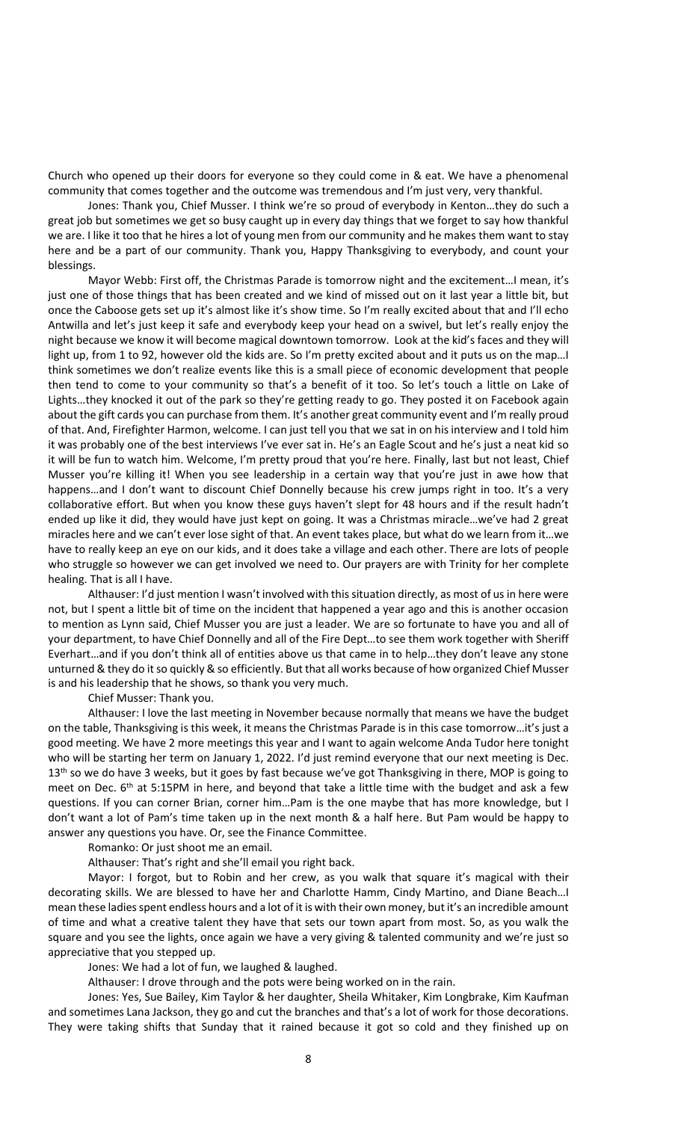Church who opened up their doors for everyone so they could come in & eat. We have a phenomenal community that comes together and the outcome was tremendous and I'm just very, very thankful.

Jones: Thank you, Chief Musser. I think we're so proud of everybody in Kenton…they do such a great job but sometimes we get so busy caught up in every day things that we forget to say how thankful we are. I like it too that he hires a lot of young men from our community and he makes them want to stay here and be a part of our community. Thank you, Happy Thanksgiving to everybody, and count your blessings.

Mayor Webb: First off, the Christmas Parade is tomorrow night and the excitement…I mean, it's just one of those things that has been created and we kind of missed out on it last year a little bit, but once the Caboose gets set up it's almost like it's show time. So I'm really excited about that and I'll echo Antwilla and let's just keep it safe and everybody keep your head on a swivel, but let's really enjoy the night because we know it will become magical downtown tomorrow. Look at the kid's faces and they will light up, from 1 to 92, however old the kids are. So I'm pretty excited about and it puts us on the map... I think sometimes we don't realize events like this is a small piece of economic development that people then tend to come to your community so that's a benefit of it too. So let's touch a little on Lake of Lights…they knocked it out of the park so they're getting ready to go. They posted it on Facebook again about the gift cards you can purchase from them. It's another great community event and I'm really proud of that. And, Firefighter Harmon, welcome. I can just tell you that we sat in on his interview and I told him it was probably one of the best interviews I've ever sat in. He's an Eagle Scout and he's just a neat kid so it will be fun to watch him. Welcome, I'm pretty proud that you're here. Finally, last but not least, Chief Musser you're killing it! When you see leadership in a certain way that you're just in awe how that happens...and I don't want to discount Chief Donnelly because his crew jumps right in too. It's a very collaborative effort. But when you know these guys haven't slept for 48 hours and if the result hadn't ended up like it did, they would have just kept on going. It was a Christmas miracle…we've had 2 great miracles here and we can't ever lose sight of that. An event takes place, but what do we learn from it…we have to really keep an eye on our kids, and it does take a village and each other. There are lots of people who struggle so however we can get involved we need to. Our prayers are with Trinity for her complete healing. That is all I have.

Althauser: I'd just mention I wasn't involved with this situation directly, as most of us in here were not, but I spent a little bit of time on the incident that happened a year ago and this is another occasion to mention as Lynn said, Chief Musser you are just a leader. We are so fortunate to have you and all of your department, to have Chief Donnelly and all of the Fire Dept…to see them work together with Sheriff Everhart…and if you don't think all of entities above us that came in to help…they don't leave any stone unturned & they do it so quickly & so efficiently. But that all works because of how organized Chief Musser is and his leadership that he shows, so thank you very much.

#### Chief Musser: Thank you.

Althauser: I love the last meeting in November because normally that means we have the budget on the table, Thanksgiving is this week, it means the Christmas Parade is in this case tomorrow…it's just a good meeting. We have 2 more meetings this year and I want to again welcome Anda Tudor here tonight who will be starting her term on January 1, 2022. I'd just remind everyone that our next meeting is Dec. 13<sup>th</sup> so we do have 3 weeks, but it goes by fast because we've got Thanksgiving in there, MOP is going to meet on Dec. 6<sup>th</sup> at 5:15PM in here, and beyond that take a little time with the budget and ask a few questions. If you can corner Brian, corner him…Pam is the one maybe that has more knowledge, but I don't want a lot of Pam's time taken up in the next month & a half here. But Pam would be happy to answer any questions you have. Or, see the Finance Committee.

Romanko: Or just shoot me an email.

Althauser: That's right and she'll email you right back.

Mayor: I forgot, but to Robin and her crew, as you walk that square it's magical with their decorating skills. We are blessed to have her and Charlotte Hamm, Cindy Martino, and Diane Beach…I mean these ladies spent endless hours and a lot of it is with their own money, but it's an incredible amount of time and what a creative talent they have that sets our town apart from most. So, as you walk the square and you see the lights, once again we have a very giving & talented community and we're just so appreciative that you stepped up.

Jones: We had a lot of fun, we laughed & laughed.

Althauser: I drove through and the pots were being worked on in the rain.

Jones: Yes, Sue Bailey, Kim Taylor & her daughter, Sheila Whitaker, Kim Longbrake, Kim Kaufman and sometimes Lana Jackson, they go and cut the branches and that's a lot of work for those decorations. They were taking shifts that Sunday that it rained because it got so cold and they finished up on